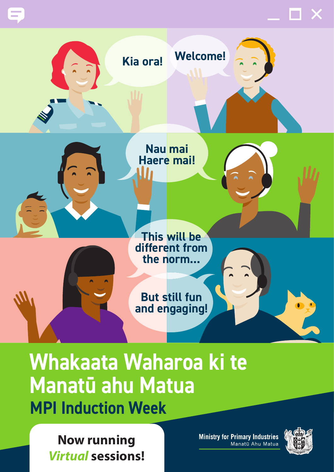

# **Whakaata Waharoa ki te Manatū ahu Matua MPI Induction Week**

**Now running**  *Virtual* **sessions!** Ministry for Primary Industries